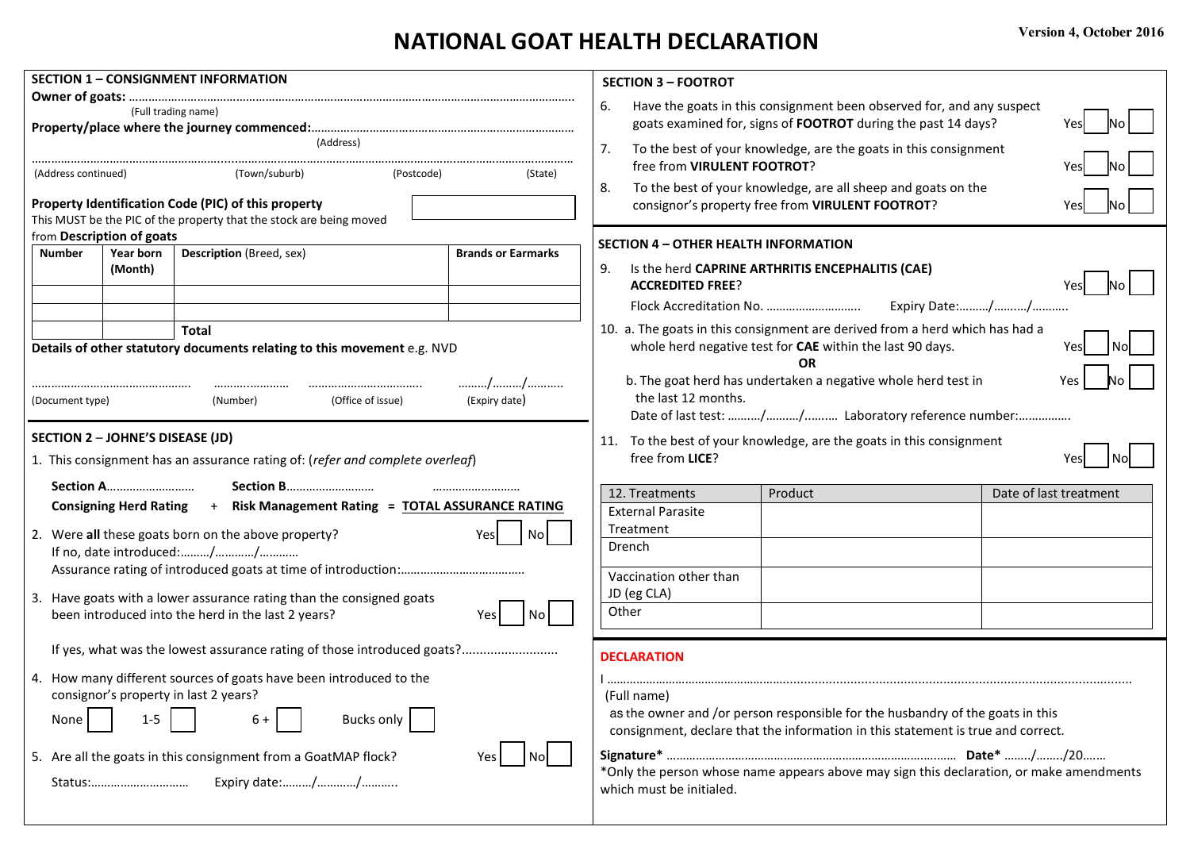